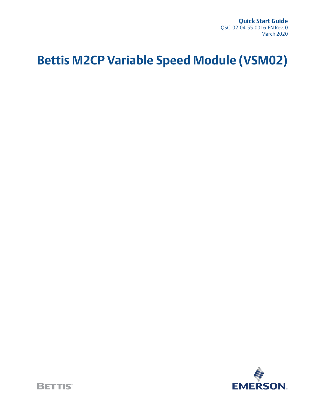**Quick Start Guide** QSG-02-04-55-0016-EN Rev. 0 March 2020

# **Bettis M2CP Variable Speed Module (VSM02)**

**EMERSON** 

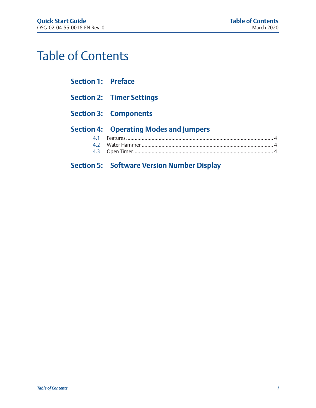# Table of Contents

### **Section 1: [Preface](#page-3-0)**

- **Section 2: [Timer Settings](#page-4-0)**
- **Section 3: [Components](#page-5-0)**

### **Section 4: [Operating Modes and Jumpers](#page-6-0)**

### **Section 5: [Software Version Number Display](#page-7-0)**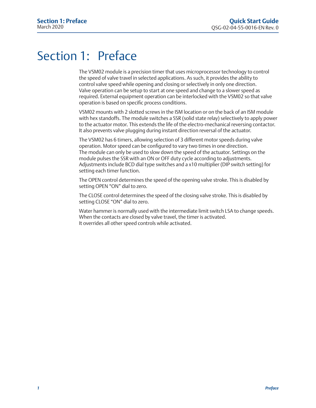## <span id="page-3-0"></span>Section 1: Preface

The VSM02 module is a precision timer that uses microprocessor technology to control the speed of valve travel in selected applications. As such, it provides the ability to control valve speed while opening and closing or selectively in only one direction. Valve operation can be setup to start at one speed and change to a slower speed as required. External equipment operation can be interlocked with the VSM02 so that valve operation is based on specific process conditions.

VSM02 mounts with 2 slotted screws in the ISM location or on the back of an ISM module with hex standoffs. The module switches a SSR (solid state relay) selectively to apply power to the actuator motor. This extends the life of the electro-mechanical reversing contactor. It also prevents valve plugging during instant direction reversal of the actuator.

The VSM02 has 6 timers, allowing selection of 3 different motor speeds during valve operation. Motor speed can be configured to vary two times in one direction. The module can only be used to slow down the speed of the actuator. Settings on the module pulses the SSR with an ON or OFF duty cycle according to adjustments. Adjustments include BCD dial type switches and a x10 multiplier (DIP switch setting) for setting each timer function.

The OPEN control determines the speed of the opening valve stroke. This is disabled by setting OPEN "ON" dial to zero.

The CLOSE control determines the speed of the closing valve stroke. This is disabled by setting CLOSE "ON" dial to zero.

Water hammer is normally used with the intermediate limit switch LSA to change speeds. When the contacts are closed by valve travel, the timer is activated. It overrides all other speed controls while activated.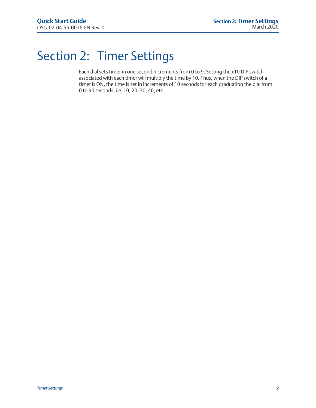## <span id="page-4-0"></span>Section 2: Timer Settings

Each dial sets timer in one second increments from 0 to 9. Setting the x10 DIP switch associated with each timer will multiply the time by 10. Thus, when the DIP switch of a timer is ON, the time is set in increments of 10 seconds for each graduation the dial from 0 to 90 seconds, i.e. 10, 20, 30, 40, etc.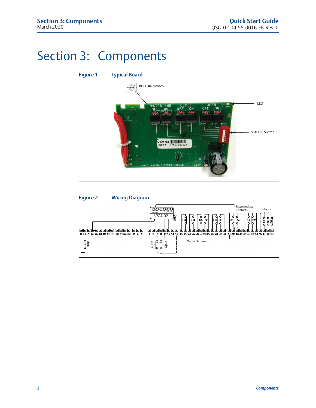## <span id="page-5-0"></span>Section 3: Components



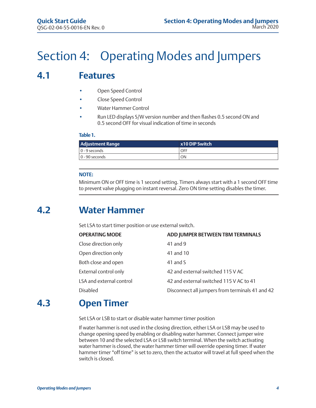# <span id="page-6-0"></span>Section 4: Operating Modes and Jumpers

## **4.1 Features**

- Open Speed Control
- Close Speed Control
- Water Hammer Control
- Run LED displays S/W version number and then flashes 0.5 second ON and 0.5 second OFF for visual indication of time in seconds

### **Table 1.**

| Adjustment Range | x10 DIP Switch |
|------------------|----------------|
| 0 - 9 seconds    | OFF            |
| $0 - 90$ seconds | ON             |

### **NOTE:**

Minimum ON or OFF time is 1 second setting. Timers always start with a 1 second OFF time to prevent valve plugging on instant reversal. Zero ON time setting disables the timer.

## **4.2 Water Hammer**

Set LSA to start timer position or use external switch.

| <b>OPERATING MODE</b>    | ADD JUMPER BETWEEN TBM TERMINALS                |
|--------------------------|-------------------------------------------------|
| Close direction only     | 41 and 9                                        |
| Open direction only      | 41 and 10                                       |
| Both close and open      | 41 and S                                        |
| External control only    | 42 and external switched 115 V AC               |
| LSA and external control | 42 and external switched 115 V AC to 41         |
| <b>Disabled</b>          | Disconnect all jumpers from terminals 41 and 42 |
|                          |                                                 |

## **4.3 Open Timer**

Set LSA or LSB to start or disable water hammer timer position

If water hammer is not used in the closing direction, either LSA or LSB may be used to change opening speed by enabling or disabling water hammer. Connect jumper wire between 10 and the selected LSA or LSB switch terminal. When the switch activating water hammer is closed, the water hammer timer will override opening timer. If water hammer timer "off time" is set to zero, then the actuator will travel at full speed when the switch is closed.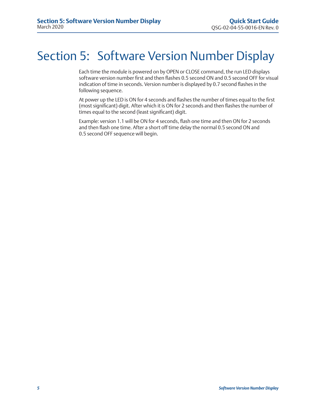# <span id="page-7-0"></span>Section 5: Software Version Number Display

Each time the module is powered on by OPEN or CLOSE command, the run LED displays software version number first and then flashes 0.5 second ON and 0.5 second OFF for visual indication of time in seconds. Version number is displayed by 0.7 second flashes in the following sequence.

At power up the LED is ON for 4 seconds and flashes the number of times equal to the first (most significant) digit. After which it is ON for 2 seconds and then flashes the number of times equal to the second (least significant) digit.

Example: version 1.1 will be ON for 4 seconds, flash one time and then ON for 2 seconds and then flash one time. After a short off time delay the normal 0.5 second ON and 0.5 second OFF sequence will begin.